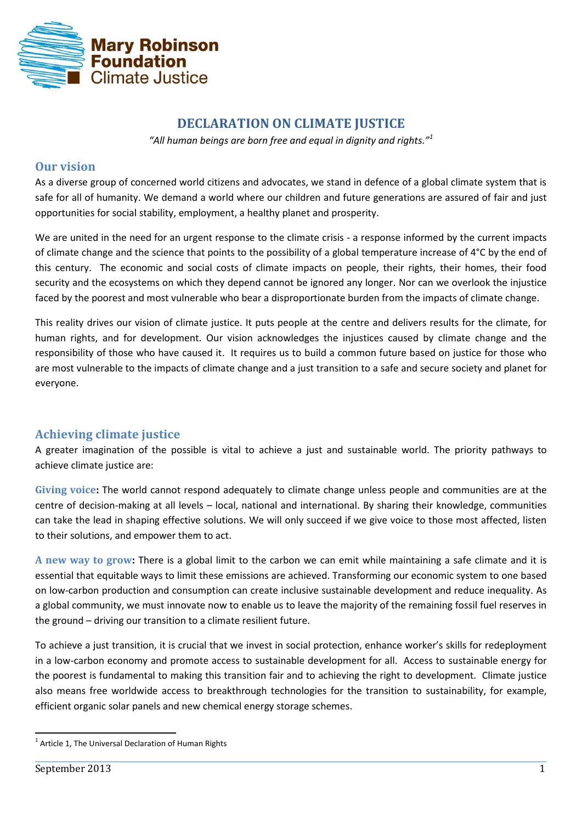

## **DECLARATION ON CLIMATE JUSTICE**

*"All human beings are born free and equal in dignity and rights."<sup>1</sup>*

#### **Our vision**

As a diverse group of concerned world citizens and advocates, we stand in defence of a global climate system that is safe for all of humanity. We demand a world where our children and future generations are assured of fair and just opportunities for social stability, employment, a healthy planet and prosperity.

We are united in the need for an urgent response to the climate crisis - a response informed by the current impacts of climate change and the science that points to the possibility of a global temperature increase of 4°C by the end of this century. The economic and social costs of climate impacts on people, their rights, their homes, their food security and the ecosystems on which they depend cannot be ignored any longer. Nor can we overlook the injustice faced by the poorest and most vulnerable who bear a disproportionate burden from the impacts of climate change.

This reality drives our vision of climate justice. It puts people at the centre and delivers results for the climate, for human rights, and for development. Our vision acknowledges the injustices caused by climate change and the responsibility of those who have caused it. It requires us to build a common future based on justice for those who are most vulnerable to the impacts of climate change and a just transition to a safe and secure society and planet for everyone.

#### **Achieving climate justice**

A greater imagination of the possible is vital to achieve a just and sustainable world. The priority pathways to achieve climate justice are:

**Giving voice:** The world cannot respond adequately to climate change unless people and communities are at the centre of decision-making at all levels – local, national and international. By sharing their knowledge, communities can take the lead in shaping effective solutions. We will only succeed if we give voice to those most affected, listen to their solutions, and empower them to act.

**A new way to grow:** There is a global limit to the carbon we can emit while maintaining a safe climate and it is essential that equitable ways to limit these emissions are achieved. Transforming our economic system to one based on low-carbon production and consumption can create inclusive sustainable development and reduce inequality. As a global community, we must innovate now to enable us to leave the majority of the remaining fossil fuel reserves in the ground – driving our transition to a climate resilient future.

To achieve a just transition, it is crucial that we invest in social protection, enhance worker's skills for redeployment in a low-carbon economy and promote access to sustainable development for all. Access to sustainable energy for the poorest is fundamental to making this transition fair and to achieving the right to development. Climate justice also means free worldwide access to breakthrough technologies for the transition to sustainability, for example, efficient organic solar panels and new chemical energy storage schemes.

1

<sup>&</sup>lt;sup>1</sup> Article 1, The Universal Declaration of Human Rights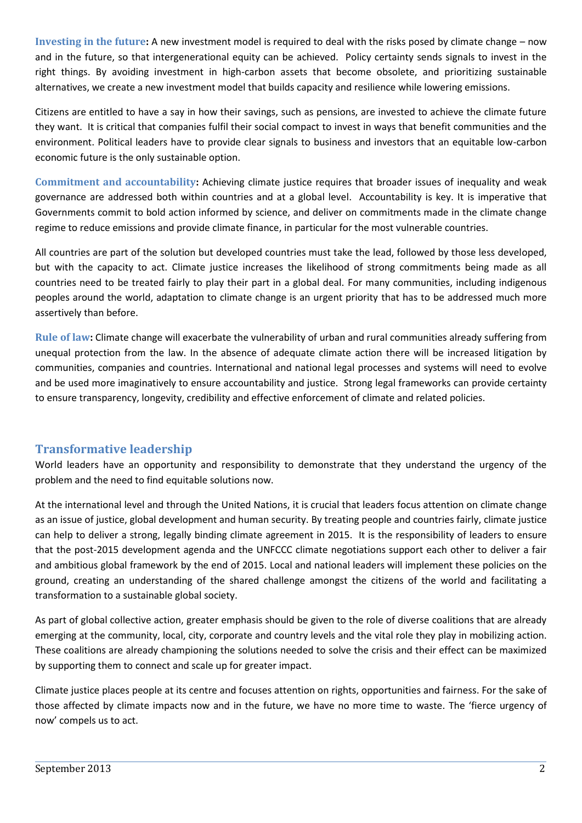**Investing in the future:** A new investment model is required to deal with the risks posed by climate change – now and in the future, so that intergenerational equity can be achieved. Policy certainty sends signals to invest in the right things. By avoiding investment in high-carbon assets that become obsolete, and prioritizing sustainable alternatives, we create a new investment model that builds capacity and resilience while lowering emissions.

Citizens are entitled to have a say in how their savings, such as pensions, are invested to achieve the climate future they want. It is critical that companies fulfil their social compact to invest in ways that benefit communities and the environment. Political leaders have to provide clear signals to business and investors that an equitable low-carbon economic future is the only sustainable option.

**Commitment and accountability:** Achieving climate justice requires that broader issues of inequality and weak governance are addressed both within countries and at a global level. Accountability is key. It is imperative that Governments commit to bold action informed by science, and deliver on commitments made in the climate change regime to reduce emissions and provide climate finance, in particular for the most vulnerable countries.

All countries are part of the solution but developed countries must take the lead, followed by those less developed, but with the capacity to act. Climate justice increases the likelihood of strong commitments being made as all countries need to be treated fairly to play their part in a global deal. For many communities, including indigenous peoples around the world, adaptation to climate change is an urgent priority that has to be addressed much more assertively than before.

**Rule of law:** Climate change will exacerbate the vulnerability of urban and rural communities already suffering from unequal protection from the law. In the absence of adequate climate action there will be increased litigation by communities, companies and countries. International and national legal processes and systems will need to evolve and be used more imaginatively to ensure accountability and justice. Strong legal frameworks can provide certainty to ensure transparency, longevity, credibility and effective enforcement of climate and related policies.

### **Transformative leadership**

World leaders have an opportunity and responsibility to demonstrate that they understand the urgency of the problem and the need to find equitable solutions now.

At the international level and through the United Nations, it is crucial that leaders focus attention on climate change as an issue of justice, global development and human security. By treating people and countries fairly, climate justice can help to deliver a strong, legally binding climate agreement in 2015. It is the responsibility of leaders to ensure that the post-2015 development agenda and the UNFCCC climate negotiations support each other to deliver a fair and ambitious global framework by the end of 2015. Local and national leaders will implement these policies on the ground, creating an understanding of the shared challenge amongst the citizens of the world and facilitating a transformation to a sustainable global society.

As part of global collective action, greater emphasis should be given to the role of diverse coalitions that are already emerging at the community, local, city, corporate and country levels and the vital role they play in mobilizing action. These coalitions are already championing the solutions needed to solve the crisis and their effect can be maximized by supporting them to connect and scale up for greater impact.

Climate justice places people at its centre and focuses attention on rights, opportunities and fairness. For the sake of those affected by climate impacts now and in the future, we have no more time to waste. The 'fierce urgency of now' compels us to act.